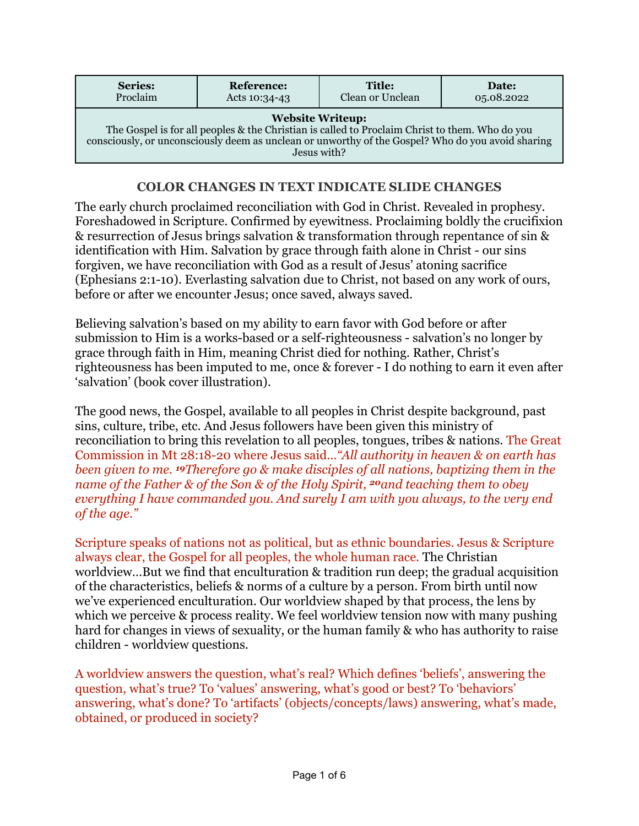| <b>Series:</b>                                                                                                                                                                                                                                | <b>Reference:</b> | <b>Title:</b>    | Date:      |
|-----------------------------------------------------------------------------------------------------------------------------------------------------------------------------------------------------------------------------------------------|-------------------|------------------|------------|
| Proclaim                                                                                                                                                                                                                                      | Acts 10:34-43     | Clean or Unclean | 05.08.2022 |
| <b>Website Writeup:</b><br>The Gospel is for all peoples & the Christian is called to Proclaim Christ to them. Who do you<br>consciously, or unconsciously deem as unclean or unworthy of the Gospel? Who do you avoid sharing<br>Jesus with? |                   |                  |            |

## **COLOR CHANGES IN TEXT INDICATE SLIDE CHANGES**

The early church proclaimed reconciliation with God in Christ. Revealed in prophesy. Foreshadowed in Scripture. Confirmed by eyewitness. Proclaiming boldly the crucifixion & resurrection of Jesus brings salvation & transformation through repentance of sin & identification with Him. Salvation by grace through faith alone in Christ - our sins forgiven, we have reconciliation with God as a result of Jesus' atoning sacrifice (Ephesians 2:1-10). Everlasting salvation due to Christ, not based on any work of ours, before or after we encounter Jesus; once saved, always saved.

Believing salvation's based on my ability to earn favor with God before or after submission to Him is a works-based or a self-righteousness - salvation's no longer by grace through faith in Him, meaning Christ died for nothing. Rather, Christ's righteousness has been imputed to me, once & forever - I do nothing to earn it even after 'salvation' (book cover illustration).

The good news, the Gospel, available to all peoples in Christ despite background, past sins, culture, tribe, etc. And Jesus followers have been given this ministry of reconciliation to bring this revelation to all peoples, tongues, tribes & nations. The Great Commission in Mt 28:18-20 where Jesus said…*"All authority in heaven & on earth has been given to me. 19Therefore go & make disciples of all nations, baptizing them in the name of the Father & of the Son & of the Holy Spirit, 20and teaching them to obey everything I have commanded you. And surely I am with you always, to the very end of the age."*

Scripture speaks of nations not as political, but as ethnic boundaries. Jesus & Scripture always clear, the Gospel for all peoples, the whole human race. The Christian worldview...But we find that enculturation & tradition run deep; the gradual acquisition of the characteristics, beliefs & norms of a culture by a person. From birth until now we've experienced enculturation. Our worldview shaped by that process, the lens by which we perceive & process reality. We feel worldview tension now with many pushing hard for changes in views of sexuality, or the human family & who has authority to raise children - worldview questions.

A worldview answers the question, what's real? Which defines 'beliefs', answering the question, what's true? To 'values' answering, what's good or best? To 'behaviors' answering, what's done? To 'artifacts' (objects/concepts/laws) answering, what's made, obtained, or produced in society?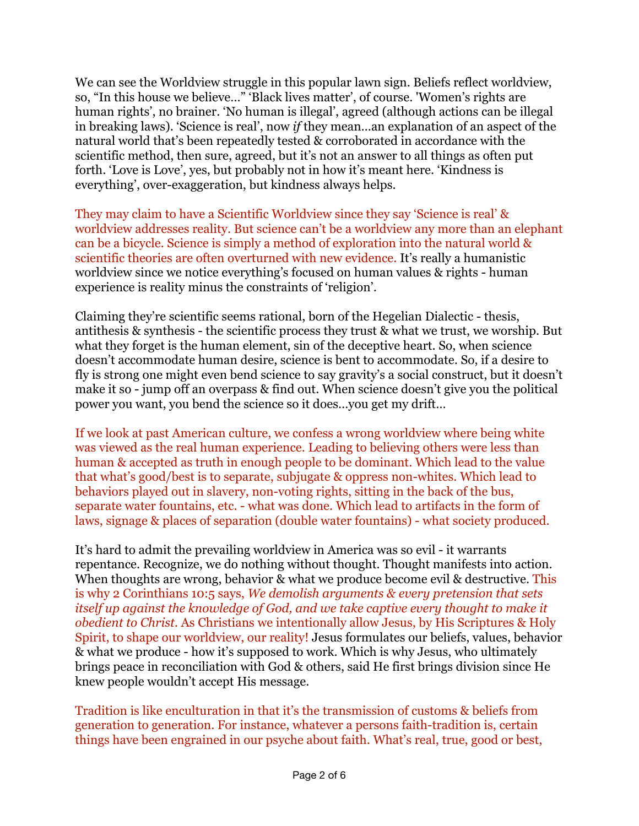We can see the Worldview struggle in this popular lawn sign. Beliefs reflect worldview, so, "In this house we believe…" 'Black lives matter', of course. 'Women's rights are human rights', no brainer. 'No human is illegal', agreed (although actions can be illegal in breaking laws). 'Science is real', now *if* they mean…an explanation of an aspect of the natural world that's been repeatedly tested & corroborated in accordance with the scientific method, then sure, agreed, but it's not an answer to all things as often put forth. 'Love is Love', yes, but probably not in how it's meant here. 'Kindness is everything', over-exaggeration, but kindness always helps.

They may claim to have a Scientific Worldview since they say 'Science is real' & worldview addresses reality. But science can't be a worldview any more than an elephant can be a bicycle. Science is simply a method of exploration into the natural world & scientific theories are often overturned with new evidence. It's really a humanistic worldview since we notice everything's focused on human values & rights - human experience is reality minus the constraints of 'religion'.

Claiming they're scientific seems rational, born of the Hegelian Dialectic - thesis, antithesis & synthesis - the scientific process they trust & what we trust, we worship. But what they forget is the human element, sin of the deceptive heart. So, when science doesn't accommodate human desire, science is bent to accommodate. So, if a desire to fly is strong one might even bend science to say gravity's a social construct, but it doesn't make it so - jump off an overpass & find out. When science doesn't give you the political power you want, you bend the science so it does…you get my drift…

If we look at past American culture, we confess a wrong worldview where being white was viewed as the real human experience. Leading to believing others were less than human & accepted as truth in enough people to be dominant. Which lead to the value that what's good/best is to separate, subjugate & oppress non-whites. Which lead to behaviors played out in slavery, non-voting rights, sitting in the back of the bus, separate water fountains, etc. - what was done. Which lead to artifacts in the form of laws, signage & places of separation (double water fountains) - what society produced.

It's hard to admit the prevailing worldview in America was so evil - it warrants repentance. Recognize, we do nothing without thought. Thought manifests into action. When thoughts are wrong, behavior & what we produce become evil & destructive. This is why 2 Corinthians 10:5 says, *We demolish arguments & every pretension that sets itself up against the knowledge of God, and we take captive every thought to make it obedient to Christ.* As Christians we intentionally allow Jesus, by His Scriptures & Holy Spirit, to shape our worldview, our reality! Jesus formulates our beliefs, values, behavior & what we produce - how it's supposed to work. Which is why Jesus, who ultimately brings peace in reconciliation with God & others, said He first brings division since He knew people wouldn't accept His message.

Tradition is like enculturation in that it's the transmission of customs & beliefs from generation to generation. For instance, whatever a persons faith-tradition is, certain things have been engrained in our psyche about faith. What's real, true, good or best,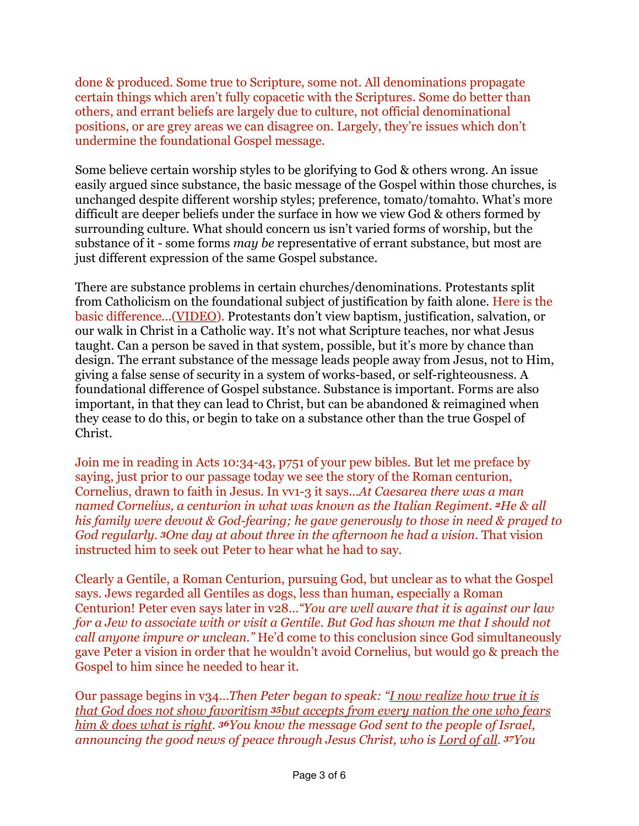done & produced. Some true to Scripture, some not. All denominations propagate certain things which aren't fully copacetic with the Scriptures. Some do better than others, and errant beliefs are largely due to culture, not official denominational positions, or are grey areas we can disagree on. Largely, they're issues which don't undermine the foundational Gospel message.

Some believe certain worship styles to be glorifying to God & others wrong. An issue easily argued since substance, the basic message of the Gospel within those churches, is unchanged despite different worship styles; preference, tomato/tomahto. What's more difficult are deeper beliefs under the surface in how we view God & others formed by surrounding culture. What should concern us isn't varied forms of worship, but the substance of it - some forms *may be* representative of errant substance, but most are just different expression of the same Gospel substance.

There are substance problems in certain churches/denominations. Protestants split from Catholicism on the foundational subject of justification by faith alone. Here is the basic difference...[\(VIDEO\)](https://www.youtube.com/watch?v=zzvvtZmKdB0). Protestants don't view baptism, justification, salvation, or our walk in Christ in a Catholic way. It's not what Scripture teaches, nor what Jesus taught. Can a person be saved in that system, possible, but it's more by chance than design. The errant substance of the message leads people away from Jesus, not to Him, giving a false sense of security in a system of works-based, or self-righteousness. A foundational difference of Gospel substance. Substance is important. Forms are also important, in that they can lead to Christ, but can be abandoned & reimagined when they cease to do this, or begin to take on a substance other than the true Gospel of Christ.

Join me in reading in Acts 10:34-43, p751 of your pew bibles. But let me preface by saying, just prior to our passage today we see the story of the Roman centurion, Cornelius, drawn to faith in Jesus. In vv1-3 it says…*At Caesarea there was a man named Cornelius, a centurion in what was known as the Italian Regiment. 2He & all his family were devout & God-fearing; he gave generously to those in need & prayed to God regularly. 3One day at about three in the afternoon he had a vision.* That vision instructed him to seek out Peter to hear what he had to say.

Clearly a Gentile, a Roman Centurion, pursuing God, but unclear as to what the Gospel says. Jews regarded all Gentiles as dogs, less than human, especially a Roman Centurion! Peter even says later in v28…*"You are well aware that it is against our law for a Jew to associate with or visit a Gentile. But God has shown me that I should not call anyone impure or unclean."* He'd come to this conclusion since God simultaneously gave Peter a vision in order that he wouldn't avoid Cornelius, but would go & preach the Gospel to him since he needed to hear it.

Our passage begins in v34…*Then Peter began to speak: "I now realize how true it is that God does not show favoritism 35but accepts from every nation the one who fears him & does what is right. 36You know the message God sent to the people of Israel, announcing the good news of peace through Jesus Christ, who is Lord of all. 37You*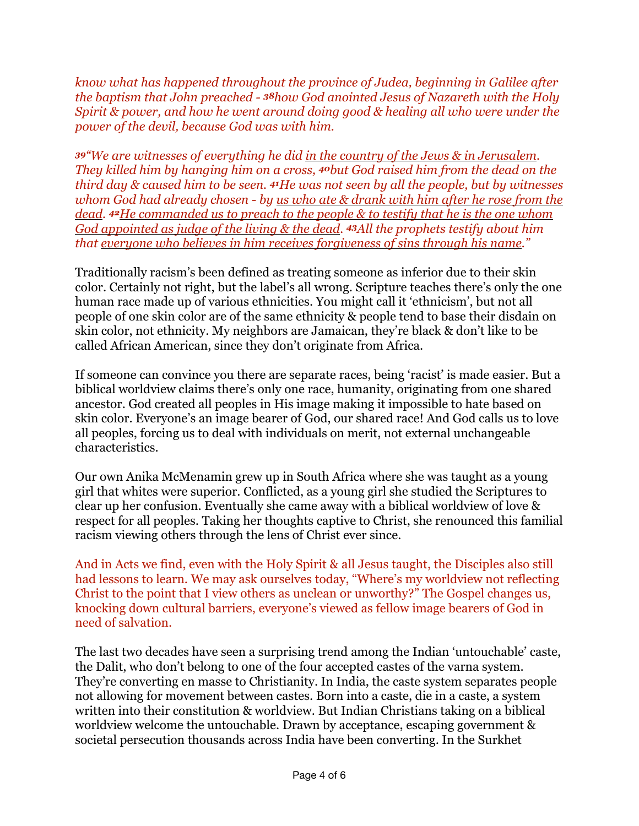*know what has happened throughout the province of Judea, beginning in Galilee after the baptism that John preached - 38how God anointed Jesus of Nazareth with the Holy Spirit & power, and how he went around doing good & healing all who were under the power of the devil, because God was with him.*

*<sup>39</sup>"We are witnesses of everything he did in the country of the Jews & in Jerusalem. They killed him by hanging him on a cross, 40but God raised him from the dead on the third day & caused him to be seen. 41He was not seen by all the people, but by witnesses whom God had already chosen - by us who ate & drank with him after he rose from the dead. 42He commanded us to preach to the people & to testify that he is the one whom God appointed as judge of the living & the dead. 43All the prophets testify about him that everyone who believes in him receives forgiveness of sins through his name."*

Traditionally racism's been defined as treating someone as inferior due to their skin color. Certainly not right, but the label's all wrong. Scripture teaches there's only the one human race made up of various ethnicities. You might call it 'ethnicism', but not all people of one skin color are of the same ethnicity & people tend to base their disdain on skin color, not ethnicity. My neighbors are Jamaican, they're black & don't like to be called African American, since they don't originate from Africa.

If someone can convince you there are separate races, being 'racist' is made easier. But a biblical worldview claims there's only one race, humanity, originating from one shared ancestor. God created all peoples in His image making it impossible to hate based on skin color. Everyone's an image bearer of God, our shared race! And God calls us to love all peoples, forcing us to deal with individuals on merit, not external unchangeable characteristics.

Our own Anika McMenamin grew up in South Africa where she was taught as a young girl that whites were superior. Conflicted, as a young girl she studied the Scriptures to clear up her confusion. Eventually she came away with a biblical worldview of love & respect for all peoples. Taking her thoughts captive to Christ, she renounced this familial racism viewing others through the lens of Christ ever since.

And in Acts we find, even with the Holy Spirit & all Jesus taught, the Disciples also still had lessons to learn. We may ask ourselves today, "Where's my worldview not reflecting Christ to the point that I view others as unclean or unworthy?" The Gospel changes us, knocking down cultural barriers, everyone's viewed as fellow image bearers of God in need of salvation.

The last two decades have seen a surprising trend among the Indian 'untouchable' caste, the Dalit, who don't belong to one of the four accepted castes of the varna system. They're converting en masse to Christianity. In India, the caste system separates people not allowing for movement between castes. Born into a caste, die in a caste, a system written into their constitution & worldview. But Indian Christians taking on a biblical worldview welcome the untouchable. Drawn by acceptance, escaping government & societal persecution thousands across India have been converting. In the Surkhet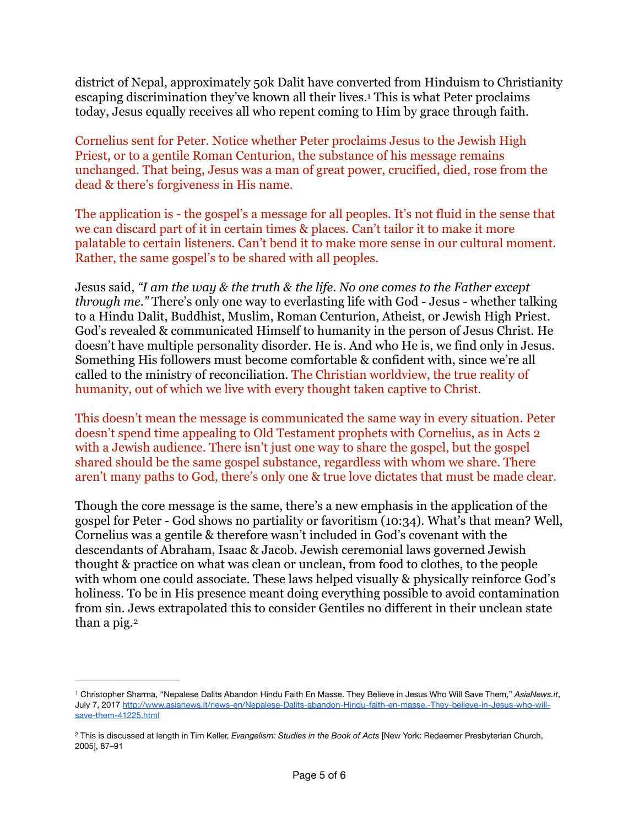<span id="page-4-2"></span>district of Nepal, approximately 50k Dalit have converted from Hinduism to Christianity escaping discrimination they've known all their lives.<sup>[1](#page-4-0)</sup> This is what Peter proclaims today, Jesus equally receives all who repent coming to Him by grace through faith.

Cornelius sent for Peter. Notice whether Peter proclaims Jesus to the Jewish High Priest, or to a gentile Roman Centurion, the substance of his message remains unchanged. That being, Jesus was a man of great power, crucified, died, rose from the dead & there's forgiveness in His name.

The application is - the gospel's a message for all peoples. It's not fluid in the sense that we can discard part of it in certain times & places. Can't tailor it to make it more palatable to certain listeners. Can't bend it to make more sense in our cultural moment. Rather, the same gospel's to be shared with all peoples.

Jesus said, *"I am the way & the truth & the life. No one comes to the Father except through me."* There's only one way to everlasting life with God - Jesus - whether talking to a Hindu Dalit, Buddhist, Muslim, Roman Centurion, Atheist, or Jewish High Priest. God's revealed & communicated Himself to humanity in the person of Jesus Christ. He doesn't have multiple personality disorder. He is. And who He is, we find only in Jesus. Something His followers must become comfortable & confident with, since we're all called to the ministry of reconciliation. The Christian worldview, the true reality of humanity, out of which we live with every thought taken captive to Christ.

This doesn't mean the message is communicated the same way in every situation. Peter doesn't spend time appealing to Old Testament prophets with Cornelius, as in Acts 2 with a Jewish audience. There isn't just one way to share the gospel, but the gospel shared should be the same gospel substance, regardless with whom we share. There aren't many paths to God, there's only one & true love dictates that must be made clear.

Though the core message is the same, there's a new emphasis in the application of the gospel for Peter - God shows no partiality or favoritism (10:34). What's that mean? Well, Cornelius was a gentile & therefore wasn't included in God's covenant with the descendants of Abraham, Isaac & Jacob. Jewish ceremonial laws governed Jewish thought & practice on what was clean or unclean, from food to clothes, to the people with whom one could associate. These laws helped visually & physically reinforce God's holiness. To be in His presence meant doing everything possible to avoid contamination from sin. Jews extrapolated this to consider Gentiles no different in their unclean state than a pig.<sup>[2](#page-4-1)</sup>

<span id="page-4-3"></span><span id="page-4-0"></span>Christopher Sharma, "Nepalese Dalits Abandon Hindu Faith En Masse. They Believe in Jesus Who Will Save Them," *AsiaNews.it*, [1](#page-4-2) July 7, 2017 [http://www.asianews.it/news-en/Nepalese-Dalits-abandon-Hindu-faith-en-masse.-They-believe-in-Jesus-who-will](http://www.asianews.it/news-en/Nepalese-Dalits-abandon-Hindu-faith-en-masse.-They-believe-in-Jesus-who-will-save-them-41225.html)[save-them-41225.html](http://www.asianews.it/news-en/Nepalese-Dalits-abandon-Hindu-faith-en-masse.-They-believe-in-Jesus-who-will-save-them-41225.html)

<span id="page-4-1"></span>This is discussed at length in Tim Keller, *Evangelism: Studies in the Book of Acts* [New York: Redeemer Presbyterian Church, [2](#page-4-3) 2005], 87–91